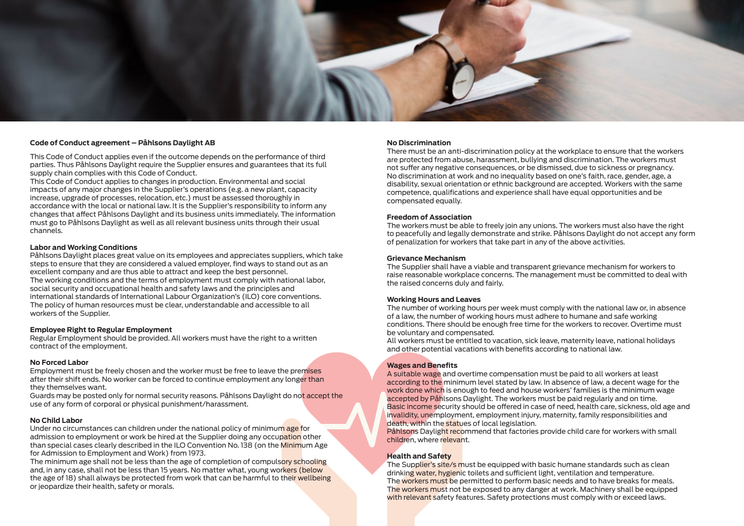#### **No Discrimination**

There must be an anti-discrimination policy at the workplace to ensure that the workers are protected from abuse, harassment, bullying and discrimination. The workers must not suffer any negative consequences, or be dismissed, due to sickness or pregnancy. No discrimination at work and no inequality based on one's faith, race, gender, age, a disability, sexual orientation or ethnic background are accepted. Workers with the same competence, qualifications and experience shall have equal opportunities and be compensated equally.

#### **Freedom of Association**

The workers must be able to freely join any unions. The workers must also have the right to peacefully and legally demonstrate and strike. Påhlsons Daylight do not accept any form of penalization for workers that take part in any of the above activities.

### **Grievance Mechanism**

The Supplier shall have a viable and transparent grievance mechanism for workers to raise reasonable workplace concerns. The management must be committed to deal with the raised concerns duly and fairly.

#### **Working Hours and Leaves**

The number of working hours per week must comply with the national law or, in absence of a law, the number of working hours must adhere to humane and safe working conditions. There should be enough free time for the workers to recover. Overtime must be voluntary and compensated.

All workers must be entitled to vacation, sick leave, maternity leave, national holidays and other potential vacations with benefits according to national law.

## **Wages and Benefits**

A suitable wage and overtime compensation must be paid to all workers at least according to the minimum level stated by law. In absence of law, a decent wage for the work done which is enough to feed and house workers' families is the minimum wage accepted by Påhlsons Daylight. The workers must be paid regularly and on time. Basic income security should be offered in case of need, health care, sickness, old age and invalidity, unemployment, employment injury, maternity, family responsibilities and death, within the statues of local legislation. Påhlsons Daylight recommend that factories provide child care for workers with small children, where relevant.

## **Health and Safety**

The Supplier's site/s must be equipped with basic humane standards such as clean drinking water, hygienic toilets and sufficient light, ventilation and temperature. The workers must be permitted to perform basic needs and to have breaks for meals. The workers must not be exposed to any danger at work. Machinery shall be equipped with relevant safety features. Safety protections must comply with or exceed laws.



### **Code of Conduct agreement – Påhlsons Daylight AB**

This Code of Conduct applies even if the outcome depends on the performance of third parties. Thus Påhlsons Daylight require the Supplier ensures and guarantees that its full supply chain complies with this Code of Conduct.

This Code of Conduct applies to changes in production. Environmental and social impacts of any major changes in the Supplier's operations (e.g. a new plant, capacity increase, upgrade of processes, relocation, etc.) must be assessed thoroughly in accordance with the local or national law. It is the Supplier's responsibility to inform any changes that affect Påhlsons Daylight and its business units immediately. The information must go to Påhlsons Daylight as well as all relevant business units through their usual channels.

### **Labor and Working Conditions**

Påhlsons Daylight places great value on its employees and appreciates suppliers, which take steps to ensure that they are considered a valued employer, find ways to stand out as an excellent company and are thus able to attract and keep the best personnel. The working conditions and the terms of employment must comply with national labor, social security and occupational health and safety laws and the principles and international standards of International Labour Organization's (ILO) core conventions. The policy of human resources must be clear, understandable and accessible to all workers of the Supplier.

#### **Employee Right to Regular Employment**

Regular Employment should be provided. All workers must have the right to a written contract of the employment.

## **No Forced Labor**

Employment must be freely chosen and the worker must be free to leave the premises after their shift ends. No worker can be forced to continue employment any longer than they themselves want.

Guards may be posted only for normal security reasons. Påhlsons Daylight do not accept the use of any form of corporal or physical punishment/harassment.

## **No Child Labor**

Under no circumstances can children under the national policy of minimum age for admission to employment or work be hired at the Supplier doing any occupation other than special cases clearly described in the ILO Convention No. 138 (on the Minimum Age for Admission to Employment and Work) from 1973.

The minimum age shall not be less than the age of completion of compulsory schooling and, in any case, shall not be less than 15 years. No matter what, young workers (below the age of 18) shall always be protected from work that can be harmful to their wellbeing or jeopardize their health, safety or morals.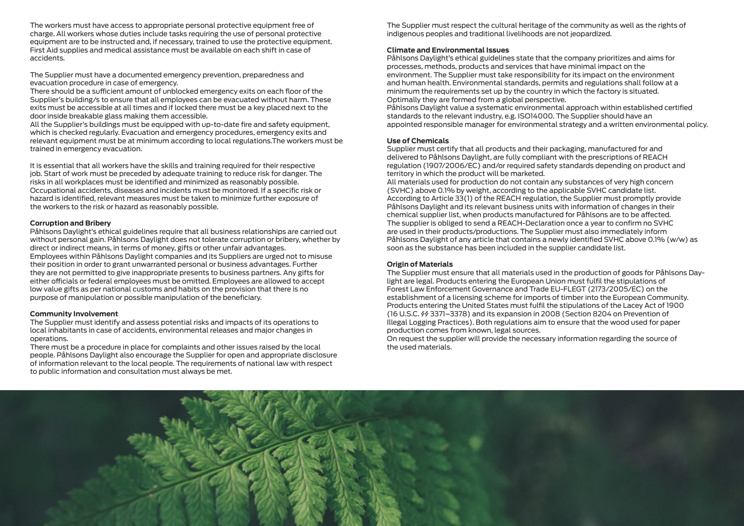The Supplier must respect the cultural heritage of the community as well as the rights of indigenous peoples and traditional livelihoods are not jeopardized.

### **Climate and Environmental Issues**

Påhlsons Daylight's ethical guidelines state that the company prioritizes and aims for processes, methods, products and services that have minimal impact on the environment. The Supplier must take responsibility for its impact on the environment and human health. Environmental standards, permits and regulations shall follow at a minimum the requirements set up by the country in which the factory is situated. Optimally they are formed from a global perspective. Påhlsons Daylight value a systematic environmental approach within established certified standards to the relevant industry, e.g. ISO14000. The Supplier should have an appointed responsible manager for environmental strategy and a written environmental policy.

## **Use of Chemicals**

Supplier must certify that all products and their packaging, manufactured for and delivered to Påhlsons Daylight, are fully compliant with the prescriptions of REACH regulation (1907/2006/EC) and/or required safety standards depending on product and territory in which the product will be marketed. All materials used for production do not contain any substances of very high concern (SVHC) above 0.1% by weight, according to the applicable SVHC candidate list. According to Article 33(1) of the REACH regulation, the Supplier must promptly provide Påhlsons Daylight and its relevant business units with information of changes in their chemical supplier list, when products manufactured for Påhlsons are to be affected. The supplier is obliged to send a REACH-Declaration once a year to confirm no SVHC are used in their products/productions. The Supplier must also immediately inform Påhlsons Daylight of any article that contains a newly identified SVHC above 0.1% (w/w) as soon as the substance has been included in the supplier candidate list.

#### **Origin of Materials**

The Supplier must ensure that all materials used in the production of goods for Påhlsons Daylight are legal. Products entering the European Union must fulfil the stipulations of Forest Law Enforcement Governance and Trade EU-FLEGT (2173/2005/EC) on the establishment of a licensing scheme for imports of timber into the European Community. Products entering the United States must fulfil the stipulations of the Lacey Act of 1900 (16 U.S.C. §§ 3371–3378) and its expansion in 2008 (Section 8204 on Prevention of Illegal Logging Practices). Both regulations aim to ensure that the wood used for paper production comes from known, legal sources. On request the supplier will provide the necessary information regarding the source of the used materials.



The workers must have access to appropriate personal protective equipment free of charge. All workers whose duties include tasks requiring the use of personal protective equipment are to be instructed and, if necessary, trained to use the protective equipment. First Aid supplies and medical assistance must be available on each shift in case of accidents.

The Supplier must have a documented emergency prevention, preparedness and evacuation procedure in case of emergency.

There should be a sufficient amount of unblocked emergency exits on each floor of the Supplier's building/s to ensure that all employees can be evacuated without harm. These exits must be accessible at all times and if locked there must be a key placed next to the door inside breakable glass making them accessible.

All the Supplier's buildings must be equipped with up-to-date fire and safety equipment, which is checked regularly. Evacuation and emergency procedures, emergency exits and relevant equipment must be at minimum according to local regulations.The workers must be trained in emergency evacuation.

It is essential that all workers have the skills and training required for their respective job. Start of work must be preceded by adequate training to reduce risk for danger. The risks in all workplaces must be identified and minimized as reasonably possible. Occupational accidents, diseases and incidents must be monitored. If a specific risk or hazard is identified, relevant measures must be taken to minimize further exposure of the workers to the risk or hazard as reasonably possible.

## **Corruption and Bribery**

Påhlsons Daylight's ethical guidelines require that all business relationships are carried out without personal gain. Påhlsons Daylight does not tolerate corruption or bribery, whether by direct or indirect means, in terms of money, gifts or other unfair advantages. Employees within Påhlsons Daylight companies and its Suppliers are urged not to misuse their position in order to grant unwarranted personal or business advantages. Further they are not permitted to give inappropriate presents to business partners. Any gifts for either officials or federal employees must be omitted. Employees are allowed to accept low value gifts as per national customs and habits on the provision that there is no purpose of manipulation or possible manipulation of the beneficiary.

## **Community Involvement**

The Supplier must identify and assess potential risks and impacts of its operations to local inhabitants in case of accidents, environmental releases and major changes in operations.

There must be a procedure in place for complaints and other issues raised by the local people. Påhlsons Daylight also encourage the Supplier for open and appropriate disclosure of information relevant to the local people. The requirements of national law with respect to public information and consultation must always be met.